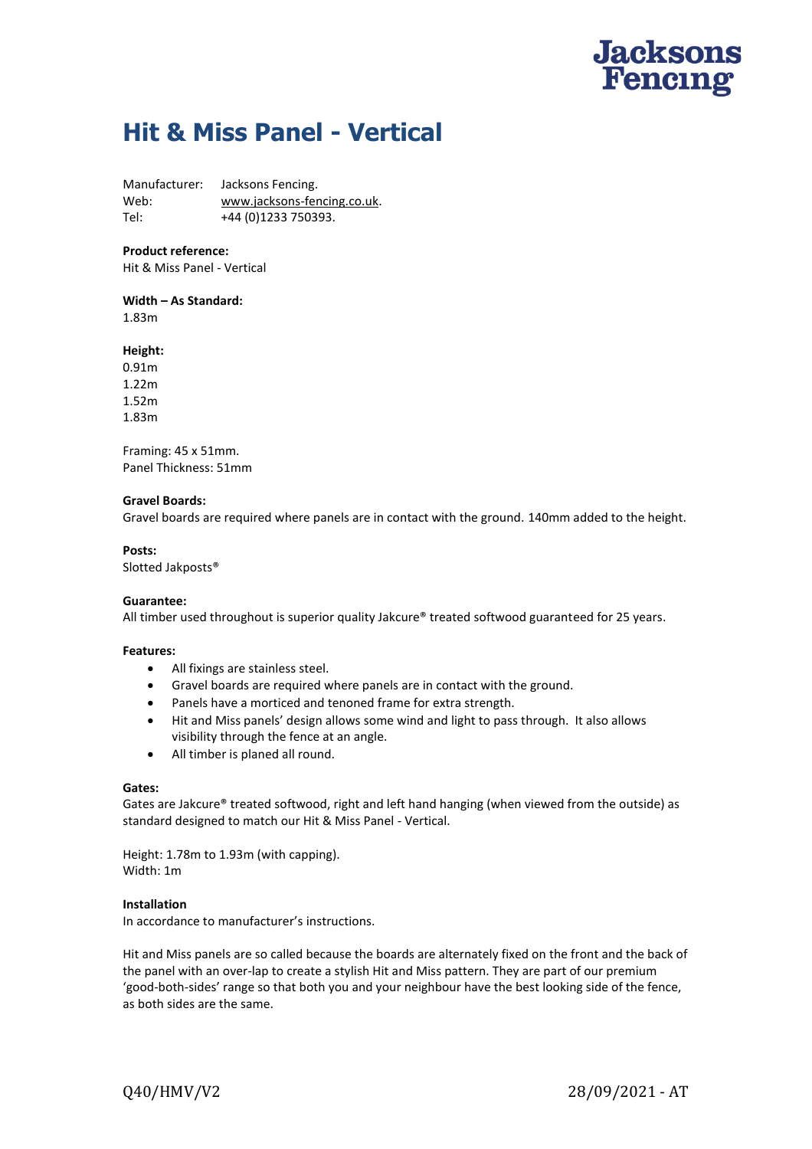# **Jacksons**<br>Fencing

# **Hit & Miss Panel - Vertical**

Manufacturer: Jacksons Fencing. Web: [www.jacksons-fencing.co.uk.](javascript:NavigateToWebsite() Tel: +44 (0)1233 750393.

# **Product reference:**

Hit & Miss Panel - Vertical

**Width – As Standard:** 1.83m

# **Height:**

0.91m 1.22m 1.52m 1.83m

Framing: 45 x 51mm. Panel Thickness: 51mm

# **Gravel Boards:**

Gravel boards are required where panels are in contact with the ground. 140mm added to the height.

# **Posts:**

Slotted Jakposts®

#### **Guarantee:**

All timber used throughout is superior quality Jakcure® treated softwood guaranteed for 25 years.

#### **Features:**

- All fixings are stainless steel.
- Gravel boards are required where panels are in contact with the ground.
- Panels have a morticed and tenoned frame for extra strength.
- Hit and Miss panels' design allows some wind and light to pass through. It also allows visibility through the fence at an angle.
- All timber is planed all round.

#### **Gates:**

Gates are Jakcure® treated softwood, right and left hand hanging (when viewed from the outside) as standard designed to match our Hit & Miss Panel - Vertical.

Height: 1.78m to 1.93m (with capping). Width: 1m

#### **Installation**

In accordance to manufacturer's instructions.

Hit and Miss panels are so called because the boards are alternately fixed on the front and the back of the panel with an over-lap to create a stylish Hit and Miss pattern. They are part of our premium 'good-both-sides' range so that both you and your neighbour have the best looking side of the fence, as both sides are the same.